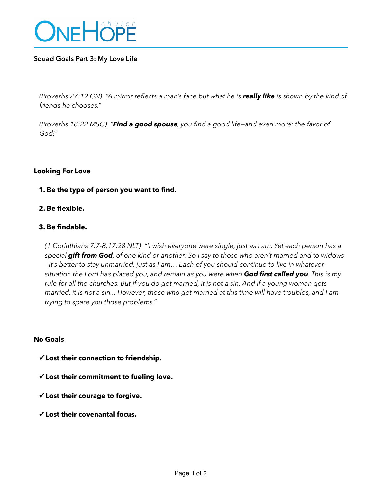

## **Squad Goals Part 3: My Love Life**

*(Proverbs 27:19 GN) "A mirror reflects a man's face but what he is really like is shown by the kind of friends he chooses."* 

*(Proverbs 18:22 MSG) "Find a good spouse, you find a good life—and even more: the favor of God!"* 

#### **Looking For Love**

## **1. Be the type of person you want to find.**

#### **2. Be flexible.**

## **3. Be findable.**

*(1 Corinthians 7:7-8,17,28 NLT) "'I wish everyone were single, just as I am. Yet each person has a special gift from God, of one kind or another. So I say to those who aren't married and to widows —it's better to stay unmarried, just as I am… Each of you should continue to live in whatever situation the Lord has placed you, and remain as you were when God first called you. This is my rule for all the churches. But if you do get married, it is not a sin. And if a young woman gets married, it is not a sin... However, those who get married at this time will have troubles, and I am trying to spare you those problems."* 

#### **No Goals**

**✓ Lost their connection to friendship.** 

**✓ Lost their commitment to fueling love.**

**✓ Lost their courage to forgive.** 

 **✓ Lost their covenantal focus.**